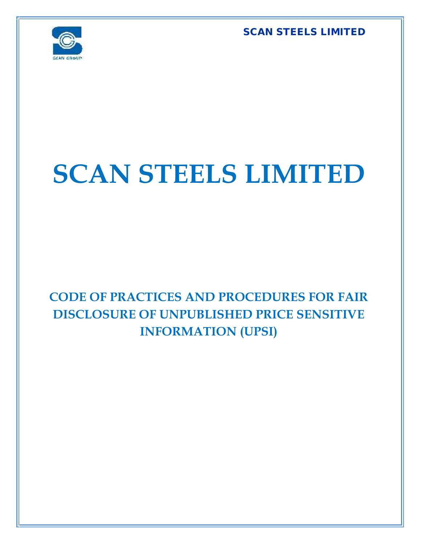**SCAN STEELS LIMITED**



## **SCAN STEELS LIMITED**

**CODE OF PRACTICES AND PROCEDURES FOR FAIR DISCLOSURE OF UNPUBLISHED PRICE SENSITIVE INFORMATION (UPSI)**